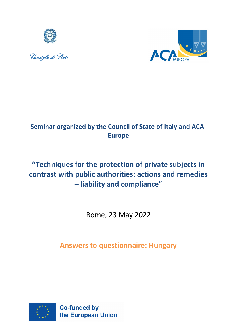





## **Seminar organized by the Council of State of Italy and ACA-Europe**

# **"Techniques for the protection of private subjects in contrast with public authorities: actions and remedies – liability and compliance"**

Rome, 23 May 2022

**Answers to questionnaire: Hungary**

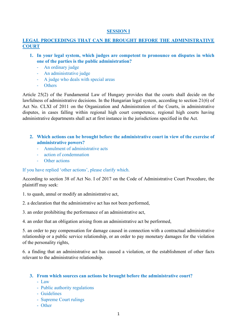#### **SESSION I**

## **LEGAL PROCEEDINGS THAT CAN BE BROUGHT BEFORE THE ADMINISTRATIVE COURT**

- **1. In your legal system, which judges are competent to pronounce on disputes in which one of the parties is the public administration?**
	- An ordinary judge
	- An administrative judge
	- A judge who deals with special areas
	- Others

Article 25(2) of the Fundamental Law of Hungary provides that the courts shall decide on the lawfulness of administrative decisions. In the Hungarian legal system, according to section 21(6) of Act No. CLXI of 2011 on the Organization and Administration of the Courts, in administrative disputes, in cases falling within regional high court competence, regional high courts having administrative departments shall act at first instance in the jurisdictions specified in the Act.

- **2. Which actions can be brought before the administrative court in view of the exercise of administrative powers?**
	- Annulment of administrative acts
	- action of condemnation
	- Other actions

#### If you have replied 'other actions', please clarify which.

According to section 38 of Act No. I of 2017 on the Code of Administrative Court Procedure, the plaintiff may seek:

- 1. to quash, annul or modify an administrative act,
- 2. a declaration that the administrative act has not been performed,
- 3. an order prohibiting the performance of an administrative act,

4. an order that an obligation arising from an administrative act be performed,

5. an order to pay compensation for damage caused in connection with a contractual administrative relationship or a public service relationship, or an order to pay monetary damages for the violation of the personality rights,

6. a finding that an administrative act has caused a violation, or the establishment of other facts relevant to the administrative relationship.

#### **3. From which sources can actions be brought before the administrative court?**

- Law
- Public authority regulations
- Guidelines
- Supreme Court rulings
- Other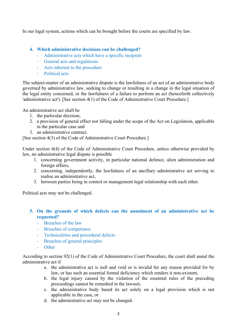In our legal system, actions which can be brought before the courts are specified by law.

## **4. Which administrative decisions can be challenged?**

- Administrative acts which have a specific recipient
- General acts and regulations
- Acts inherent to the procedure
- Political acts

The subject-matter of an administrative dispute is the lawfulness of an act of an administrative body governed by administrative law, seeking to change or resulting in a change in the legal situation of the legal entity concerned, or the lawfulness of a failure to perform an act (henceforth collectively 'administrative act'). [See section 4(1) of the Code of Administrative Court Procedure.]

An administrative act shall be

- 1. the particular decision;
- 2. a provision of general effect not falling under the scope of the Act on Legislation, applicable in the particular case and
- 3. an administrative contract.

[See section 4(3) of the Code of Administrative Court Procedure.]

Under section 4(4) of the Code of Administrative Court Procedure, unless otherwise provided by law, no administrative legal dispute is possible

- 1. concerning government activity, in particular national defence, alien administration and foreign affairs,
- 2. concerning, independently, the lawfulness of an ancillary administrative act serving to realise an administrative act,
- 3. between parties being in control or management legal relationship with each other.

Political acts may not be challenged.

## **5. On the grounds of which defects can the annulment of an administrative act be requested?**

- Breaches of the law
- Breaches of competence
- Technicalities and procedural defects
- Breaches of general principles
- **Other**

According to section 92(1) of the Code of Administrative Court Procedure, the court shall annul the administrative act if

- a. the administrative act is null and void or is invalid for any reason provided for by law, or has such an essential formal deficiency which renders it non-existent,
- b. the legal injury caused by the violation of the essential rules of the preceding proceedings cannot be remedied in the lawsuit,
- c. the administrative body based its act solely on a legal provision which is not applicable in the case, or
- d. the administrative act may not be changed.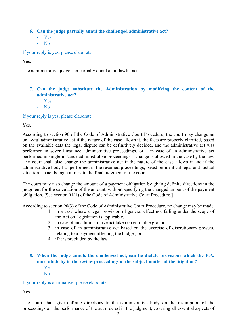#### **6. Can the judge partially annul the challenged administrative act?**

- Yes
- No

If your reply is yes, please elaborate.

Yes.

The administrative judge can partially annul an unlawful act.

- **7. Can the judge substitute the Administration by modifying the content of the administrative act?**
	- Yes
	- No

If your reply is yes, please elaborate.

Yes.

According to section 90 of the Code of Administrative Court Procedure, the court may change an unlawful administrative act if the nature of the case allows it, the facts are properly clarified, based on the available data the legal dispute can be definitively decided, and the administrative act was performed in several-instance administrative proceedings, or – in case of an administrative act performed in single-instance administrative proceedings – change is allowed in the case by the law. The court shall also change the administrative act if the nature of the case allows it and if the administrative body has performed in the resumed proceedings, based on identical legal and factual situation, an act being contrary to the final judgment of the court.

The court may also change the amount of a payment obligation by giving definite directions in the judgment for the calculation of the amount, without specifying the changed amount of the payment obligation. [See section 91(1) of the Code of Administrative Court Procedure.]

According to section 90(3) of the Code of Administrative Court Procedure, no change may be made

- 1. in a case where a legal provision of general effect not falling under the scope of the Act on Legislation is applicable,
- 2. in case of an administrative act taken on equitable grounds,
- 3. in case of an administrative act based on the exercise of discretionary powers, relating to a payment affecting the budget, or
- 4. if it is precluded by the law.

## **8. When the judge annuls the challenged act, can he dictate provisions which the P.A. must abide by in the review proceedings of the subject-matter of the litigation?**

- Yes
- $N<sub>0</sub>$

#### If your reply is affirmative, please elaborate.

Yes.

The court shall give definite directions to the administrative body on the resumption of the proceedings or the performance of the act ordered in the judgment, covering all essential aspects of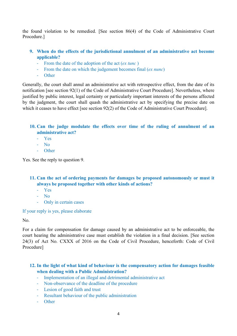the found violation to be remedied. [See section 86(4) of the Code of Administrative Court Procedure.]

## **9. When do the effects of the jurisdictional annulment of an administrative act become applicable?**

- From the date of the adoption of the act (*ex tunc*)
- From the date on which the judgement becomes final (*ex nunc*)
- **Other**

Generally, the court shall annul an administrative act with retrospective effect, from the date of its notification [see section 92(1) of the Code of Administrative Court Procedure]. Nevertheless, where justified by public interest, legal certainty or particularly important interests of the persons affected by the judgment, the court shall quash the administrative act by specifying the precise date on which it ceases to have effect [see section 92(2) of the Code of Administrative Court Procedure].

## **10. Can the judge modulate the effects over time of the ruling of annulment of an administrative act?**

- Yes
- $N<sub>0</sub>$
- **Other**

Yes. See the reply to question 9.

## **11. Can the act of ordering payments for damages be proposed autonomously or must it always be proposed together with other kinds of actions?**

- Yes
- No
- Only in certain cases

#### If your reply is yes, please elaborate

No.

For a claim for compensation for damage caused by an administrative act to be enforceable, the court hearing the administrative case must establish the violation in a final decision. [See section 24(3) of Act No. CXXX of 2016 on the Code of Civil Procedure, henceforth: Code of Civil Procedure]

#### **12. In the light of what kind of behaviour is the compensatory action for damages feasible when dealing with a Public Administration?**

- Implementation of an illegal and detrimental administrative act
- Non-observance of the deadline of the procedure
- Lesion of good faith and trust
- Resultant behaviour of the public administration
- **Other**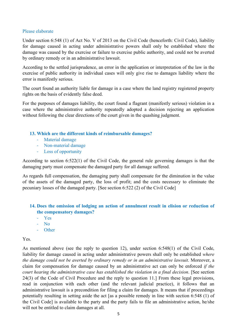#### Please elaborate

Under section 6:548 (1) of Act No. V of 2013 on the Civil Code (henceforth: Civil Code), liability for damage caused in acting under administrative powers shall only be established where the damage was caused by the exercise or failure to exercise public authority, and could not be averted by ordinary remedy or in an administrative lawsuit.

According to the settled jurisprudence, an error in the application or interpretation of the law in the exercise of public authority in individual cases will only give rise to damages liability where the error is manifestly serious.

The court found an authority liable for damage in a case where the land registry registered property rights on the basis of evidently false deed.

For the purposes of damages liability, the court found a flagrant (manifestly serious) violation in a case where the administrative authority repeatedly adopted a decision rejecting an application without following the clear directions of the court given in the quashing judgment.

#### **13. Which are the different kinds of reimbursable damages?**

- Material damage
- Non-material damage
- Loss of opportunity

According to section 6:522(1) of the Civil Code, the general rule governing damages is that the damaging party must compensate the damaged party for all damage suffered.

As regards full compensation, the damaging party shall compensate for the diminution in the value of the assets of the damaged party, the loss of profit; and the costs necessary to eliminate the pecuniary losses of the damaged party. [See section 6:522 (2) of the Civil Code]

## **14. Does the omission of lodging an action of annulment result in elision or reduction of the compensatory damages?**

- Yes
- No
- **Other**

#### Yes.

As mentioned above (see the reply to question 12), under section 6:548(1) of the Civil Code, liability for damage caused in acting under administrative powers shall only be established *where the damage could not be averted by ordinary remedy or in an administrative lawsuit*. Moreover, a claim for compensation for damage caused by an administrative act can only be enforced *if the court hearing the administrative case has established the violation in a final decision*. [See section 24(3) of the Code of Civil Procedure and the reply to question 11.] From these legal provisions, read in conjunction with each other (and the relevant judicial practice), it follows that an administrative lawsuit is a precondition for filing a claim for damages. It means that if proceedings potentially resulting in setting aside the act [as a possible remedy in line with section 6:548 (1) of the Civil Code] is available to the party and the party fails to file an administrative action, he/she will not be entitled to claim damages at all.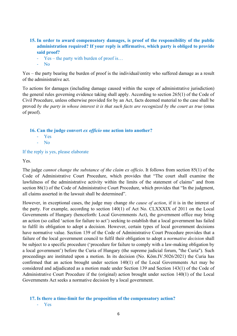- **15. In order to award compensatory damages, is proof of the responsibility of the public administration required? If your reply is affirmative, which party is obliged to provide said proof?**
	- $Yes the party with burden of proof is...$
	- N<sub>0</sub>

Yes – the party bearing the burden of proof is the individual/entity who suffered damage as a result of the administrative act.

To actions for damages (including damage caused within the scope of administrative jurisdiction) the general rules governing evidence taking shall apply. According to section 265(1) of the Code of Civil Procedure, unless otherwise provided for by an Act, facts deemed material to the case shall be proved *by the party in whose interest it is that such facts are recognized by the court as true* (onus of proof).

#### **16. Can the judge convert** *ex officio* **one action into another?**

- Yes
- N<sub>o</sub>

#### If the reply is yes, please elaborate

Yes.

The judge *cannot change the substance of the claim ex officio*. It follows from section 85(1) of the Code of Administrative Court Procedure, which provides that "The court shall examine the lawfulness of the administrative activity within the limits of the statement of claims" and from section 86(1) of the Code of Administrative Court Procedure, which provides that "In the judgment, all claims asserted in the lawsuit shall be determined".

However, in exceptional cases, the judge may change *the cause of action*, if it is in the interest of the party. For example, according to section 140(1) of Act No. CLXXXIX of 2011 on the Local Governments of Hungary (henceforth: Local Governments Act), the government office may bring an action (so called 'action for failure to act') seeking to establish that a local government has failed to fulfil its obligation to adopt a decision. However, certain types of local government decisions have normative value. Section 139 of the Code of Administrative Court Procedure provides that a failure of the local government council to fulfil their obligation to adopt a *normative decision* shall be subject to a specific procedure ('procedure for failure to comply with a law-making obligation by a local government') before the Curia of Hungary (the supreme judicial forum, "the Curia"). Such proceedings are instituted upon a motion. In its decision (No. Köm.IV.5026/2021) the Curia has confirmed that an action brought under section 140(1) of the Local Governments Act may be considered and adjudicated as a motion made under Section 139 and Section 143(1) of the Code of Administrative Court Procedure if the (original) action brought under section 140(1) of the Local Governments Act seeks a normative decision by a local government.

#### **17. Is there a time-limit for the proposition of the compensatory action?**

- Yes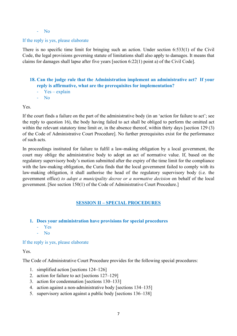- No

#### If the reply is yes, please elaborate

There is no specific time limit for bringing such an action. Under section 6:533(1) of the Civil Code, the legal provisions governing statute of limitations shall also apply to damages. It means that claims for damages shall lapse after five years [section 6:22(1) point a) of the Civil Code].

## **18. Can the judge rule that the Administration implement an administrative act? If your reply is affirmative, what are the prerequisites for implementation?**

- Yes explain
- N<sub>o</sub>

Yes.

If the court finds a failure on the part of the administrative body (in an 'action for failure to act'; see the reply to question 16), the body having failed to act shall be obliged to perform the omitted act within the relevant statutory time limit or, in the absence thereof, within thirty days [section 129 (3) of the Code of Administrative Court Procedure]. No further prerequisites exist for the performance of such acts.

In proceedings instituted for failure to fulfil a law-making obligation by a local government, the court may oblige the administrative body to adopt an act of normative value. If, based on the regulatory supervisory body's motion submitted after the expiry of the time limit for the compliance with the law-making obligation, the Curia finds that the local government failed to comply with its law-making obligation, it shall authorise the head of the regulatory supervisory body (i.e. the government office) *to adopt a municipality decree or a normative decision* on behalf of the local government. [See section 150(1) of the Code of Administrative Court Procedure.]

## **SESSION II – SPECIAL PROCEDURES**

- **1. Does your administration have provisions for special procedures**
	- Yes
	- No

#### If the reply is yes, please elaborate

Yes.

The Code of Administrative Court Procedure provides for the following special procedures:

- 1. simplified action [sections 124–126]
- 2. action for failure to act [sections 127–129]
- 3. action for condemnation [sections 130–133]
- 4. action against a non-administrative body [sections 134–135]
- 5. supervisory action against a public body [sections 136–138]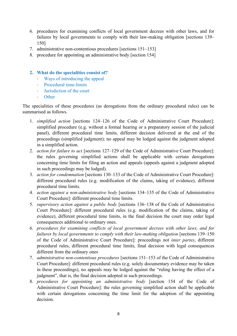- 6. procedures for examining conflicts of local government decrees with other laws, and for failures by local governments to comply with their law-making obligation [sections 139– 150]
- 7. administrative non-contentious procedures [sections 151–153]
- 8. procedure for appointing an administrative body [section 154]
- **2. What do the specialities consist of?**
	- Ways of introducing the appeal
	- Procedural time-limits
	- Jurisdiction of the court
	- **Other**

The specialities of these procedures (as derogations from the ordinary procedural rules) can be summarised as follows.

- 1. *simplified action* [sections 124–126 of the Code of Administrative Court Procedure]: simplified procedure (e.g. without a formal hearing or a preparatory session of the judicial panel), different procedural time limits, different decision delivered at the end of the proceedings (simplified judgment); no appeal may be lodged against the judgment adopted in a simplified action.
- 2. *action for failure to act* [sections 127–129 of the Code of Administrative Court Procedure]: the rules governing simplified actions shall be applicable with certain derogations concerning time limits for filing an action and appeals (appeals against a judgment adopted in such proceedings may be lodged).
- 3. *action for condemnation* [sections 130–133 of the Code of Administrative Court Procedure]: different procedural rules (e.g. modification of the claims, taking of evidence), different procedural time limits.
- 4. *action against a non-administrative body* [sections 134–135 of the Code of Administrative Court Procedure]: different procedural time limits.
- 5. *supervisory action against a public body* [sections 136–138 of the Code of Administrative Court Procedure]: different procedural rules (e.g. modification of the claims, taking of evidence), different procedural time limits, in the final decision the court may order legal consequences additional to ordinary ones.
- 6. *procedures for examining conflicts of local government decrees with other laws, and for failures by local governments to comply with their law-making obligation* [sections 139–150 of the Code of Administrative Court Procedure]: proceedings not *inter partes*, different procedural rules, different procedural time limits, final decision with legal consequences different from the ordinary ones
- 7. *administrative non-contentious procedures* [sections 151–153 of the Code of Administrative Court Procedure]: different procedural rules (e.g. solely documentary evidence may be taken in these proceedings), no appeals may be lodged against the "ruling having the effect of a judgment", that is, the final decision adopted in such proceedings.
- 8. *procedures for appointing an administrative body* [section 154 of the Code of Administrative Court Procedure]: the rules governing simplified action shall be applicable with certain derogations concerning the time limit for the adoption of the appointing decision.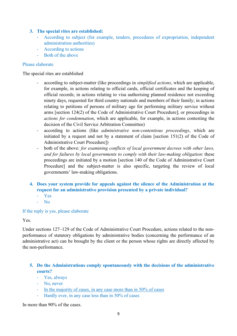#### **3. The special rites are established:**

- According to subject (for example, tenders, procedures of expropriation, independent administration authorities)
- According to actions
- Both of the above

#### Please elaborate

The special rites are established

- according to subject-matter (like proceedings in *simplified actions*, which are applicable, for example, in actions relating to official cards, official certificates and the keeping of official records; in actions relating to visa authorising planned residence not exceeding ninety days, requested for third country nationals and members of their family; in actions relating to petitions of persons of military age for performing military service without arms [section 124(2) of the Code of Administrative Court Procedure]; or proceedings in *actions for condemnation*, which are applicable, for example, in actions contesting the decision of the Civil Service Arbitration Committee)
- according to actions (like *administrative non-contentious proceedings*, which are initiated by a request and not by a statement of claim [section 151(2) of the Code of Administrative Court Procedure])
- both of the above: *for examining conflicts of local government decrees with other laws, and for failures by local governments to comply with their law-making obligation*: these proceedings are initiated by a motion [section 140 of the Code of Administrative Court Procedure] and the subject-matter is also specific, targeting the review of local governments' law-making obligations.
- **4. Does your system provide for appeals against the silence of the Administration at the request for an administrative provision presented by a private individual?**
	- Yes
	- N<sub>o</sub>

#### If the reply is yes, please elaborate

#### Yes.

Under sections 127–129 of the Code of Administrative Court Procedure, actions related to the nonperformance of statutory obligations by administrative bodies (concerning the performance of an administrative act) can be brought by the client or the person whose rights are directly affected by the non-performance.

#### **5. Do the Administrations comply spontaneously with the decisions of the administrative courts?**

- Yes, always
- No, never
- In the majority of cases, in any case more than in 50% of cases
- Hardly ever, in any case less than in 50% of cases

In more than 90% of the cases.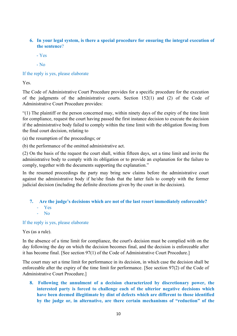- **6. In your legal system, is there a special procedure for ensuring the integral execution of the sentence**?
	- Yes
	- $-$  No

If the reply is yes, please elaborate

Yes.

The Code of Administrative Court Procedure provides for a specific procedure for the execution of the judgments of the administrative courts. Section 152(1) and (2) of the Code of Administrative Court Procedure provides:

"(1) The plaintiff or the person concerned may, within ninety days of the expiry of the time limit for compliance, request the court having passed the first instance decision to execute the decision if the administrative body failed to comply within the time limit with the obligation flowing from the final court decision, relating to

(a) the resumption of the proceedings; or

(b) the performance of the omitted administrative act.

(2) On the basis of the request the court shall, within fifteen days, set a time limit and invite the administrative body to comply with its obligation or to provide an explanation for the failure to comply, together with the documents supporting the explanation."

In the resumed proceedings the party may bring new claims before the administrative court against the administrative body if he/she finds that the latter fails to comply with the former judicial decision (including the definite directions given by the court in the decision).

## **7. Are the judge's decisions which are not of the last resort immediately enforceable?** - Yes

If the reply is yes, please elaborate

Yes (as a rule).

In the absence of a time limit for compliance, the court's decision must be complied with on the day following the day on which the decision becomes final, and the decision is enforceable after it has become final. [See section 97(1) of the Code of Administrative Court Procedure.]

The court may set a time limit for performance in its decision, in which case the decision shall be enforceable after the expiry of the time limit for performance. [See section 97(2) of the Code of Administrative Court Procedure.]

**8. Following the annulment of a decision characterized by discretionary power, the interested party is forced to challenge each of the ulterior negative decisions which have been deemed illegitimate by dint of defects which are different to those identified by the judge or, in alternative, are there certain mechanisms of "reduction" of the** 

<sup>-</sup> No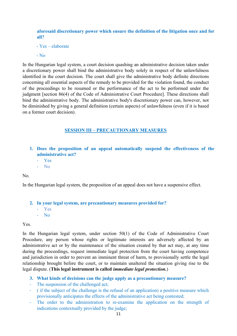**aforesaid discretionary power which ensure the definition of the litigation once and for all?**

- Yes – elaborate

 $-$  No

In the Hungarian legal system, a court decision quashing an administrative decision taken under a discretionary power shall bind the administrative body solely in respect of the unlawfulness identified in the court decision. The court shall give the administrative body definite directions concerning all essential aspects of the remedy to be provided for the violation found, the conduct of the proceedings to be resumed or the performance of the act to be performed under the judgment [section 86(4) of the Code of Administrative Court Procedure]. These directions shall bind the administrative body. The administrative body's discretionary power can, however, not be diminished by giving a general definition (certain aspects) of unlawfulness (even if it is based on a former court decision).

## **SESSION III – PRECAUTIONARY MEASURES**

#### **1. Does the proposition of an appeal automatically suspend the effectiveness of the administrative act?**

- Yes
- N<sub>0</sub>

No.

In the Hungarian legal system, the proposition of an appeal does not have a suspensive effect.

#### **2. In your legal system, are precautionary measures provided for?**

- Yes

- No

Yes.

In the Hungarian legal system, under section 50(1) of the Code of Administrative Court Procedure, any person whose rights or legitimate interests are adversely affected by an administrative act or by the maintenance of the situation created by that act may, at any time during the proceedings, request immediate legal protection from the court having competence and jurisdiction in order to prevent an imminent threat of harm, to provisionally settle the legal relationship brought before the court, or to maintain unaltered the situation giving rise to the legal dispute. (**This legal instrument is called** *immediate legal protection.*)

- **3. What kinds of decisions can the judge apply as a precautionary measure?**
- The suspension of the challenged act;
- ( if the subject of the challenge is the refusal of an application) a positive measure which provisionally anticipates the effects of the administrative act being contested;
- The order to the administration to re-examine the application on the strength of indications contextually provided by the judge;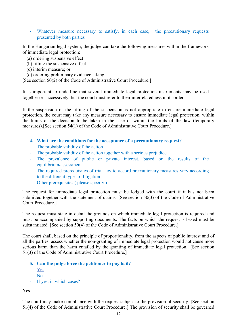- Whatever measure necessary to satisfy, in each case, the precautionary requests presented by both parties

In the Hungarian legal system, the judge can take the following measures within the framework of immediate legal protection:

- (a) ordering suspensive effect
- (b) lifting the suspensive effect
- (c) interim measure; or
- (d) ordering preliminary evidence taking.

[See section 50(2) of the Code of Administrative Court Procedure.]

It is important to underline that several immediate legal protection instruments may be used together or successively, but the court must refer to their interrelatedness in its order.

If the suspension or the lifting of the suspension is not appropriate to ensure immediate legal protection, the court may take any measure necessary to ensure immediate legal protection, within the limits of the decision to be taken in the case or within the limits of the law (temporary measures).[See section 54(1) of the Code of Administrative Court Procedure.]

- **4. What are the conditions for the acceptance of a precautionary request?**
- The probable validity of the action
- The probable validity of the action together with a serious prejudice
- The prevalence of public or private interest, based on the results of the equilibrium/assessment
- The required prerequisites of trial law to accord precautionary measures vary according to the different types of litigation
- Other prerequisites ( please specify )

The request for immediate legal protection must be lodged with the court if it has not been submitted together with the statement of claims. [See section 50(3) of the Code of Administrative Court Procedure.]

The request must state in detail the grounds on which immediate legal protection is required and must be accompanied by supporting documents. The facts on which the request is based must be substantiated. [See section 50(4) of the Code of Administrative Court Procedure.]

The court shall, based on the principle of proportionality, from the aspects of public interest and of all the parties, assess whether the non-granting of immediate legal protection would not cause more serious harm than the harm entailed by the granting of immediate legal protection.. [See section 51(3) of the Code of Administrative Court Procedure.]

- **5. Can the judge force the petitioner to pay bail?**
- Yes
- No
- If yes, in which cases?

Yes.

The court may make compliance with the request subject to the provision of security. [See section 51(4) of the Code of Administrative Court Procedure.] The provision of security shall be governed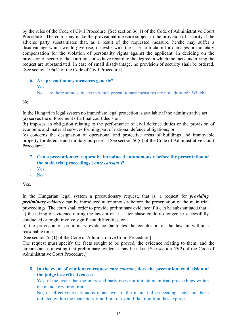by the rules of the Code of Civil Procedure. [See section 36(1) of the Code of Administrative Court Procedure.] The court may make the provisional measure subject to the provision of security if the adverse party substantiates that, as a result of the requested measure, he/she may suffer a disadvantage which would give rise, if he/she wins the case, to a claim for damages or monetary compensation for the violation of personality rights against the applicant. In deciding on the provision of security, the court must also have regard to the degree in which the facts underlying the request are substantiated. In case of small disadvantage, no provision of security shall be ordered. [See section 106(1) of the Code of Civil Procedure.]

- **6. Are precautionary measures generic?**
- Yes
- No are there some subjects in which precautionary measures are not admitted? Which?

No.

In the Hungarian legal system no immediate legal protection is available if the administrative act (a) serves the enforcement of a final court decision,

(b) imposes an obligation relating to the performance of civil defence duties or the provision of economic and material services forming part of national defence obligations; or

(c) concerns the designation of operational and protective areas of buildings and immovable property for defence and military purposes. [See section 50(6) of the Code of Administrative Court Procedure.]

- **7. Can a precautionary request be introduced autonomously before the presentation of the main trial proceedings (** *ante causam* **)?**
- Yes
- $N<sub>0</sub>$

Yes.

In the Hungarian legal system a precautionary request, that is, a request for *providing preliminary evidence* can be introduced autonomously before the presentation of the main trial proceedings. The court shall order to provide preliminary evidence if it can be substantiated that a) the taking of evidence during the lawsuit or at a later phase could no longer be successfully conducted or might involve significant difficulties, or

b) the provision of preliminary evidence facilitates the conclusion of the lawsuit within a reasonable time.

[See section 55(1) of the Code of Administrative Court Procedure.]

The request must specify the facts sought to be proved, the evidence relating to them, and the circumstances attesting that preliminary evidence may be taken [See section 55(2) of the Code of Administrative Court Procedure.]

- **8. In the event of cautionary request** *ante causam***, does the precautionary decision of the judge lose effectiveness?**
- Yes, in the event that the interested party does not initiate main trial proceedings within the mandatory time-limit
- No, its effectiveness remains intact even if the main trial proceedings have not been initiated within the mandatory time-limit or even if the time-limit has expired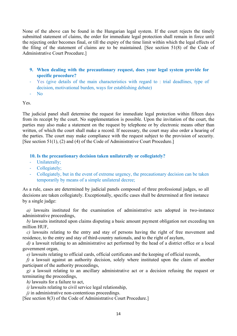None of the above can be found in the Hungarian legal system. If the court rejects the timely submitted statement of claims, the order for immediate legal protection shall remain in force until the rejecting order becomes final, or till the expiry of the time limit within which the legal effects of the filing of the statement of claims are to be maintained. [See section 51(8) of the Code of Administrative Court Procedure.]

- **9. When dealing with the precautionary request, does your legal system provide for specific procedure?**
- Yes (give details of the main characteristics with regard to : trial deadlines, type of decision, motivational burden, ways for establishing debate)
- No

Yes.

The judicial panel shall determine the request for immediate legal protection within fifteen days from its receipt by the court. No supplementation is possible. Upon the invitation of the court, the parties may also make a statement on the request by telephone or by electronic means other than written, of which the court shall make a record. If necessary, the court may also order a hearing of the parties. The court may make compliance with the request subject to the provision of security. [See section 51(1), (2) and (4) of the Code of Administrative Court Procedure.]

**10. Is the precautionary decision taken unilaterally or collegiately?**

- Unilaterally;
- Collegiately;
- Collegiately, but in the event of extreme urgency, the precautionary decision can be taken temporarily by means of a simple unilateral decree;

As a rule, cases are determined by judicial panels composed of three professional judges, so all decisions are taken collegiately. Exceptionally, specific cases shall be determined at first instance by a single judge:

*a)* lawsuits instituted for the examination of administrative acts adopted in two-instance administrative proceedings,

*b)* lawsuits instituted upon claims disputing a basic amount payment obligation not exceeding ten million HUF,

*c)* lawsuits relating to the entry and stay of persons having the right of free movement and residence, to the entry and stay of third-country nationals, and to the right of asylum,

*d)* a lawsuit relating to an administrative act performed by the head of a district office or a local government organ,

*e)* lawsuits relating to official cards, official certificates and the keeping of official records,

*f)* a lawsuit against an authority decision, solely where instituted upon the claim of another participant of the authority proceedings,

*g)* a lawsuit relating to an ancillary administrative act or a decision refusing the request or terminating the proceedings,

*h)* lawsuits for a failure to act,

*i)* lawsuits relating to civil service legal relationship,

*j*) in administrative non-contentious proceedings.

[See section 8(3) of the Code of Administrative Court Procedure.]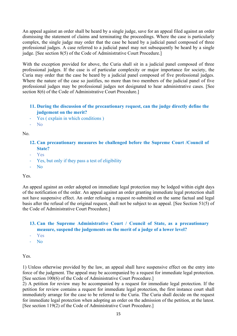An appeal against an order shall be heard by a single judge, save for an appeal filed against an order dismissing the statement of claims and terminating the proceedings. Where the case is particularly complex, the single judge may order that the case be heard by a judicial panel composed of three professional judges. A case referred to a judicial panel may not subsequently be heard by a single judge. [See section 8(5) of the Code of Administrative Court Procedure.]

With the exception provided for above, the Curia shall sit in a judicial panel composed of three professional judges. If the case is of particular complexity or major importance for society, the Curia may order that the case be heard by a judicial panel composed of five professional judges. Where the nature of the case so justifies, no more than two members of the judicial panel of five professional judges may be professional judges not designated to hear administrative cases. [See section 8(6) of the Code of Administrative Court Procedure.]

#### **11. During the discussion of the precautionary request, can the judge directly define the judgement on the merit?**

- Yes ( explain in which conditions )
- No

No.

## **12. Can precautionary measures be challenged before the Supreme Court /Council of State?**

- Yes
- Yes, but only if they pass a test of eligibility
- No

Yes.

An appeal against an order adopted on immediate legal protection may be lodged within eight days of the notification of the order. An appeal against an order granting immediate legal protection shall not have suspensive effect. An order refusing a request re-submitted on the same factual and legal basis after the refusal of the original request, shall not be subject to an appeal. [See Section 51(5) of the Code of Administrative Court Procedure.]

## **13. Can the Supreme Administrative Court / Council of State, as a precautionary measure, suspend the judgements on the merit of a judge of a lower level?** - Yes - No

Yes.

1) Unless otherwise provided by the law, an appeal shall have suspensive effect on the entry into force of the judgment. The appeal may be accompanied by a request for immediate legal protection. [See section 100(6) of the Code of Administrative Court Procedure.]

2) A petition for review may be accompanied by a request for immediate legal protection. If the petition for review contains a request for immediate legal protection, the first instance court shall immediately arrange for the case to be referred to the Curia. The Curia shall decide on the request for immediate legal protection when adopting an order on the admission of the petition, at the latest. [See section 119(2) of the Code of Administrative Court Procedure.]